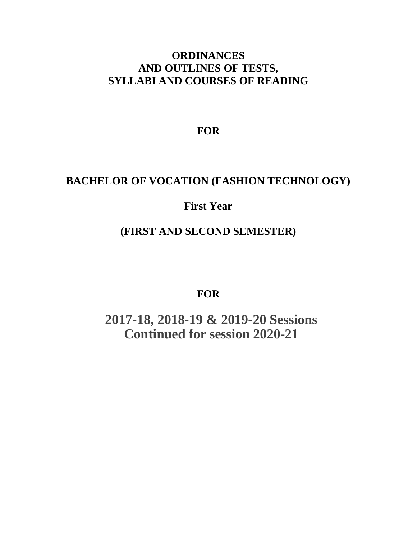# **ORDINANCES AND OUTLINES OF TESTS, SYLLABI AND COURSES OF READING**

**FOR**

# **BACHELOR OF VOCATION (FASHION TECHNOLOGY)**

# **First Year**

# **(FIRST AND SECOND SEMESTER)**

**FOR**

**2017-18, 2018-19 & 2019-20 Sessions Continued for session 2020-21**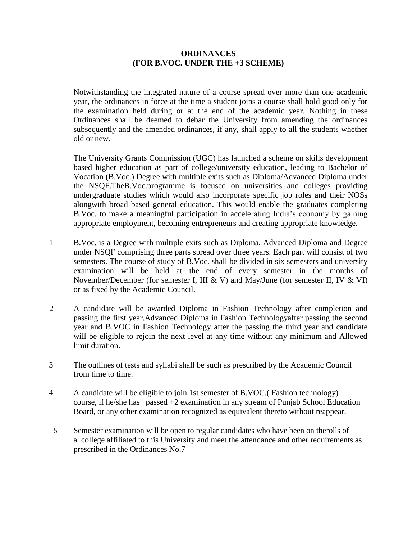## **ORDINANCES (FOR B.VOC. UNDER THE +3 SCHEME)**

Notwithstanding the integrated nature of a course spread over more than one academic year, the ordinances in force at the time a student joins a course shall hold good only for the examination held during or at the end of the academic year. Nothing in these Ordinances shall be deemed to debar the University from amending the ordinances subsequently and the amended ordinances, if any, shall apply to all the students whether old or new.

The University Grants Commission (UGC) has launched a scheme on skills development based higher education as part of college/university education, leading to Bachelor of Vocation (B.Voc.) Degree with multiple exits such as Diploma/Advanced Diploma under the NSQF.TheB.Voc.programme is focused on universities and colleges providing undergraduate studies which would also incorporate specific job roles and their NOSs alongwith broad based general education. This would enable the graduates completing B.Voc. to make a meaningful participation in accelerating India's economy by gaining appropriate employment, becoming entrepreneurs and creating appropriate knowledge.

- 1 B.Voc. is a Degree with multiple exits such as Diploma, Advanced Diploma and Degree under NSQF comprising three parts spread over three years. Each part will consist of two semesters. The course of study of B.Voc. shall be divided in six semesters and university examination will be held at the end of every semester in the months of November/December (for semester I, III & V) and May/June (for semester II, IV & VI) or as fixed by the Academic Council.
- 2 A candidate will be awarded Diploma in Fashion Technology after completion and passing the first year,Advanced Diploma in Fashion Technologyafter passing the second year and B.VOC in Fashion Technology after the passing the third year and candidate will be eligible to rejoin the next level at any time without any minimum and Allowed limit duration.
- 3 The outlines of tests and syllabi shall be such as prescribed by the Academic Council from time to time.
- 4 A candidate will be eligible to join 1st semester of B.VOC.( Fashion technology) course, if he/she has passed +2 examination in any stream of Punjab School Education Board, or any other examination recognized as equivalent thereto without reappear.
- 5 Semester examination will be open to regular candidates who have been on therolls of a college affiliated to this University and meet the attendance and other requirements as prescribed in the Ordinances No.7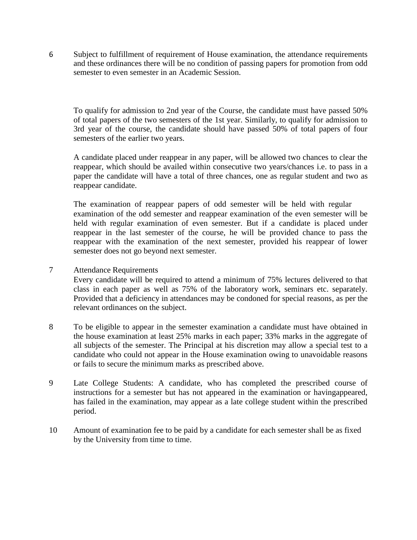6 Subject to fulfillment of requirement of House examination, the attendance requirements and these ordinances there will be no condition of passing papers for promotion from odd semester to even semester in an Academic Session.

To qualify for admission to 2nd year of the Course, the candidate must have passed 50% of total papers of the two semesters of the 1st year. Similarly, to qualify for admission to 3rd year of the course, the candidate should have passed 50% of total papers of four semesters of the earlier two years.

A candidate placed under reappear in any paper, will be allowed two chances to clear the reappear, which should be availed within consecutive two years/chances i.e. to pass in a paper the candidate will have a total of three chances, one as regular student and two as reappear candidate.

The examination of reappear papers of odd semester will be held with regular examination of the odd semester and reappear examination of the even semester will be held with regular examination of even semester. But if a candidate is placed under reappear in the last semester of the course, he will be provided chance to pass the reappear with the examination of the next semester, provided his reappear of lower semester does not go beyond next semester.

## 7 Attendance Requirements

Every candidate will be required to attend a minimum of 75% lectures delivered to that class in each paper as well as 75% of the laboratory work, seminars etc. separately. Provided that a deficiency in attendances may be condoned for special reasons, as per the relevant ordinances on the subject.

- 8 To be eligible to appear in the semester examination a candidate must have obtained in the house examination at least 25% marks in each paper; 33% marks in the aggregate of all subjects of the semester. The Principal at his discretion may allow a special test to a candidate who could not appear in the House examination owing to unavoidable reasons or fails to secure the minimum marks as prescribed above.
- 9 Late College Students: A candidate, who has completed the prescribed course of instructions for a semester but has not appeared in the examination or havingappeared, has failed in the examination, may appear as a late college student within the prescribed period.
- 10 Amount of examination fee to be paid by a candidate for each semester shall be as fixed by the University from time to time.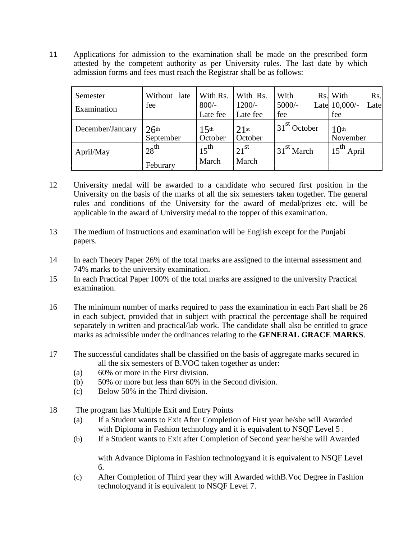11 Applications for admission to the examination shall be made on the prescribed form attested by the competent authority as per University rules. The last date by which admission forms and fees must reach the Registrar shall be as follows:

| Semester<br>Examination | Without<br>late<br>fee        | With Rs.<br>$800/-$<br>Late fee | With Rs.<br>$1200/-$<br>Late fee | With<br>$5000/-$<br>fee | Rs. With<br>Rs.<br>Late 10,000/-<br>Late<br>fee |
|-------------------------|-------------------------------|---------------------------------|----------------------------------|-------------------------|-------------------------------------------------|
| December/January        | 26 <sup>th</sup><br>September | 15 <sup>th</sup><br>October     | $21$ st<br>October               | $31^{st}$<br>October    | 10 <sup>th</sup><br>November                    |
| April/May               | $128^{\text{th}}$<br>Feburary | $15^{\text{th}}$<br>March       | $121$ <sup>st</sup><br>March     | 31 <sup>st</sup> March  | $15^{th}$<br>April                              |

- 12 University medal will be awarded to a candidate who secured first position in the University on the basis of the marks of all the six semesters taken together. The general rules and conditions of the University for the award of medal/prizes etc. will be applicable in the award of University medal to the topper of this examination.
- 13 The medium of instructions and examination will be English except for the Punjabi papers.
- 14 In each Theory Paper 26% of the total marks are assigned to the internal assessment and 74% marks to the university examination.
- 15 In each Practical Paper 100% of the total marks are assigned to the university Practical examination.
- 16 The minimum number of marks required to pass the examination in each Part shall be 26 in each subject, provided that in subject with practical the percentage shall be required separately in written and practical/lab work. The candidate shall also be entitled to grace marks as admissible under the ordinances relating to the **GENERAL GRACE MARKS**.
- 17 The successful candidates shall be classified on the basis of aggregate marks secured in all the six semesters of B.VOC taken together as under:
	- (a) 60% or more in the First division.
	- (b) 50% or more but less than 60% in the Second division.
	- (c) Below 50% in the Third division.
- 18 The program has Multiple Exit and Entry Points
	- (a) If a Student wants to Exit After Completion of First year he/she will Awarded with Diploma in Fashion technology and it is equivalent to NSQF Level 5.
	- (b) If a Student wants to Exit after Completion of Second year he/she will Awarded

with Advance Diploma in Fashion technologyand it is equivalent to NSQF Level 6.

(c) After Completion of Third year they will Awarded withB.Voc Degree in Fashion technologyand it is equivalent to NSQF Level 7.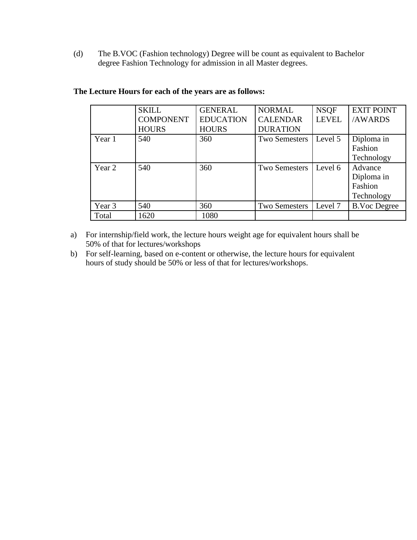(d) The B.VOC (Fashion technology) Degree will be count as equivalent to Bachelor degree Fashion Technology for admission in all Master degrees.

|        | <b>SKILL</b><br><b>COMPONENT</b> | <b>GENERAL</b><br><b>EDUCATION</b> | <b>NORMAL</b><br><b>CALENDAR</b> | <b>NSQF</b><br><b>LEVEL</b> | <b>EXIT POINT</b><br>/AWARDS                   |
|--------|----------------------------------|------------------------------------|----------------------------------|-----------------------------|------------------------------------------------|
|        | <b>HOURS</b>                     | <b>HOURS</b>                       | <b>DURATION</b>                  |                             |                                                |
| Year 1 | 540                              | 360                                | <b>Two Semesters</b>             | Level 5                     | Diploma in<br>Fashion<br>Technology            |
| Year 2 | 540                              | 360                                | Two Semesters                    | Level 6                     | Advance<br>Diploma in<br>Fashion<br>Technology |
| Year 3 | 540                              | 360                                | Two Semesters                    | Level 7                     | <b>B.Voc Degree</b>                            |
| Total  | 1620                             | 1080                               |                                  |                             |                                                |

## **The Lecture Hours for each of the years are as follows:**

- a) For internship/field work, the lecture hours weight age for equivalent hours shall be 50% of that for lectures/workshops
- b) For self-learning, based on e-content or otherwise, the lecture hours for equivalent hours of study should be 50% or less of that for lectures/workshops.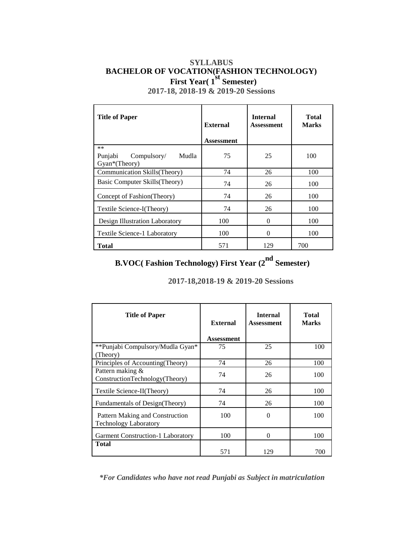# **SYLLABUS BACHELOR OF VOCATION(FASHION TECHNOLOGY) First Year( 1st Semester)**

**2017-18, 2018-19 & 2019-20 Sessions**

| <b>Title of Paper</b>                                    | <b>External</b><br><b>Assessment</b> | <b>Internal</b><br><b>Assessment</b> | <b>Total</b><br><b>Marks</b> |
|----------------------------------------------------------|--------------------------------------|--------------------------------------|------------------------------|
| $**$<br>Mudla<br>Punjabi<br>Compulsory/<br>Gyan*(Theory) | 75                                   | 25                                   | 100                          |
| Communication Skills(Theory)                             | 74                                   | 26                                   | 100                          |
| Basic Computer Skills (Theory)                           | 74                                   | 26                                   | 100                          |
| Concept of Fashion (Theory)                              | 74                                   | 26                                   | 100                          |
| Textile Science-I(Theory)                                | 74                                   | 26                                   | 100                          |
| Design Illustration Laboratory                           | 100                                  | $\theta$                             | 100                          |
| Textile Science-1 Laboratory                             | 100                                  | $\theta$                             | 100                          |
| <b>Total</b>                                             | 571                                  | 129                                  | 700                          |

# **B.VOC( Fashion Technology) First Year (2nd Semester)**

**2017-18,2018-19 & 2019-20 Sessions**

| <b>Title of Paper</b>                                           | External   | <b>Internal</b><br><b>Assessment</b> | <b>Total</b><br><b>Marks</b> |
|-----------------------------------------------------------------|------------|--------------------------------------|------------------------------|
|                                                                 | Assessment |                                      |                              |
| **Punjabi Compulsory/Mudla Gyan*<br>(Theory)                    | 75         | 25                                   | 100                          |
| Principles of Accounting (Theory)                               | 74         | 26                                   | 100                          |
| Pattern making &<br>ConstructionTechnology(Theory)              | 74         | 26                                   | 100                          |
| Textile Science-II(Theory)                                      | 74         | 26                                   | 100                          |
| Fundamentals of Design(Theory)                                  | 74         | 26                                   | 100                          |
| Pattern Making and Construction<br><b>Technology Laboratory</b> | 100        | $\Omega$                             | 100                          |
| <b>Garment Construction-1 Laboratory</b>                        | 100        | $\Omega$                             | 100                          |
| <b>Total</b>                                                    | 571        | 129                                  | 700                          |

*\*For Candidates who have not read Punjabi as Subject in matriculation*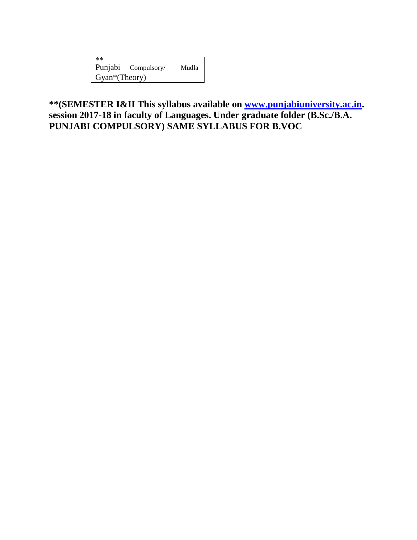\*\* Punjabi Compulsory/ Mudla Gyan\*(Theory)

**\*\*(SEMESTER I&II This syllabus available on [www.punjabiuniversity.ac.in.](http://www.punjabiuniversity.ac.in/) session 2017-18 in faculty of Languages. Under graduate folder (B.Sc./B.A. PUNJABI COMPULSORY) SAME SYLLABUS FOR B.VOC**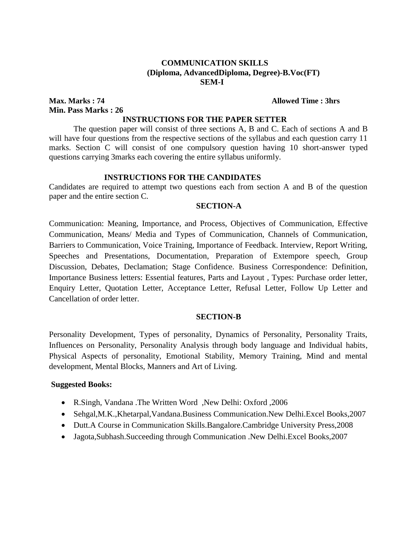## **COMMUNICATION SKILLS (Diploma, AdvancedDiploma, Degree)-B.Voc(FT) SEM-I**

**Max. Marks : 74 Allowed Time : 3hrs Min. Pass Marks : 26**

#### **INSTRUCTIONS FOR THE PAPER SETTER**

The question paper will consist of three sections A, B and C. Each of sections A and B will have four questions from the respective sections of the syllabus and each question carry 11 marks. Section C will consist of one compulsory question having 10 short-answer typed questions carrying 3marks each covering the entire syllabus uniformly.

#### **INSTRUCTIONS FOR THE CANDIDATES**

Candidates are required to attempt two questions each from section A and B of the question paper and the entire section C.

#### **SECTION-A**

Communication: Meaning, Importance, and Process, Objectives of Communication, Effective Communication, Means/ Media and Types of Communication, Channels of Communication, Barriers to Communication, Voice Training, Importance of Feedback. Interview, Report Writing, Speeches and Presentations, Documentation, Preparation of Extempore speech, Group Discussion, Debates, Declamation; Stage Confidence. Business Correspondence: Definition, Importance Business letters: Essential features, Parts and Layout , Types: Purchase order letter, Enquiry Letter, Quotation Letter, Acceptance Letter, Refusal Letter, Follow Up Letter and Cancellation of order letter.

## **SECTION-B**

Personality Development, Types of personality, Dynamics of Personality, Personality Traits, Influences on Personality, Personality Analysis through body language and Individual habits, Physical Aspects of personality, Emotional Stability, Memory Training, Mind and mental development, Mental Blocks, Manners and Art of Living.

- R.Singh, Vandana .The Written Word ,New Delhi: Oxford ,2006
- Sehgal,M.K.,Khetarpal,Vandana.Business Communication.New Delhi.Excel Books,2007
- Dutt.A Course in Communication Skills.Bangalore.Cambridge University Press,2008
- Jagota,Subhash.Succeeding through Communication .New Delhi.Excel Books,2007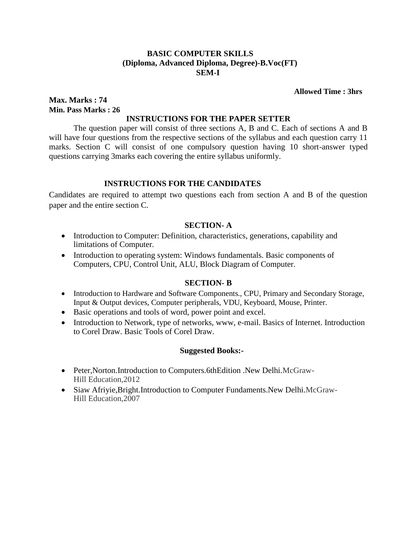## **BASIC COMPUTER SKILLS (Diploma, Advanced Diploma, Degree)-B.Voc(FT) SEM-I**

#### **Allowed Time : 3hrs**

## **Max. Marks : 74 Min. Pass Marks : 26**

## **INSTRUCTIONS FOR THE PAPER SETTER**

The question paper will consist of three sections A, B and C. Each of sections A and B will have four questions from the respective sections of the syllabus and each question carry 11 marks. Section C will consist of one compulsory question having 10 short-answer typed questions carrying 3marks each covering the entire syllabus uniformly.

## **INSTRUCTIONS FOR THE CANDIDATES**

Candidates are required to attempt two questions each from section A and B of the question paper and the entire section C.

#### **SECTION- A**

- Introduction to Computer: Definition, characteristics, generations, capability and limitations of Computer.
- Introduction to operating system: Windows fundamentals. Basic components of Computers, CPU, Control Unit, ALU, Block Diagram of Computer.

#### **SECTION- B**

- Introduction to Hardware and Software Components., CPU, Primary and Secondary Storage, Input & Output devices, Computer peripherals, VDU, Keyboard, Mouse, Printer.
- Basic operations and tools of word, power point and excel.
- Introduction to Network, type of networks, www, e-mail. Basics of Internet. Introduction to Corel Draw. Basic Tools of Corel Draw.

- Peter,Norton.Introduction to Computers.6thEdition .New Delhi.McGraw-Hill Education,2012
- Siaw Afriyie,Bright.Introduction to Computer Fundaments.New Delhi.McGraw-Hill Education,2007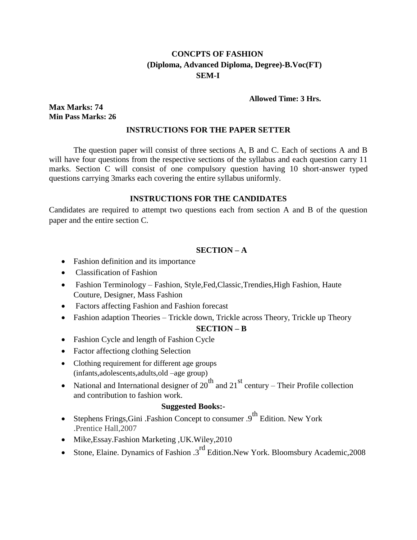# **CONCPTS OF FASHION (Diploma, Advanced Diploma, Degree)-B.Voc(FT) SEM-I**

#### **Allowed Time: 3 Hrs.**

**Max Marks: 74 Min Pass Marks: 26**

#### **INSTRUCTIONS FOR THE PAPER SETTER**

The question paper will consist of three sections A, B and C. Each of sections A and B will have four questions from the respective sections of the syllabus and each question carry 11 marks. Section C will consist of one compulsory question having 10 short-answer typed questions carrying 3marks each covering the entire syllabus uniformly.

## **INSTRUCTIONS FOR THE CANDIDATES**

Candidates are required to attempt two questions each from section A and B of the question paper and the entire section C.

#### **SECTION – A**

- Fashion definition and its importance
- Classification of Fashion
- Fashion Terminology Fashion, Style, Fed, Classic, Trendies, High Fashion, Haute Couture, Designer, Mass Fashion
- Factors affecting Fashion and Fashion forecast
- Fashion adaption Theories Trickle down, Trickle across Theory, Trickle up Theory

## **SECTION – B**

- Fashion Cycle and length of Fashion Cycle
- Factor affectiong clothing Selection
- Clothing requirement for different age groups (infants,adolescents,adults,old –age group)
- National and International designer of  $20^{th}$  and  $21^{st}$  century Their Profile collection and contribution to fashion work.

- Stephens Frings, Gini .Fashion Concept to consumer  $.9<sup>th</sup>$  Edition. New York .Prentice Hall,2007
- Mike,Essay.Fashion Marketing ,UK.Wiley,2010
- Stone, Elaine. Dynamics of Fashion .3rd Edition.New York. Bloomsbury Academic,2008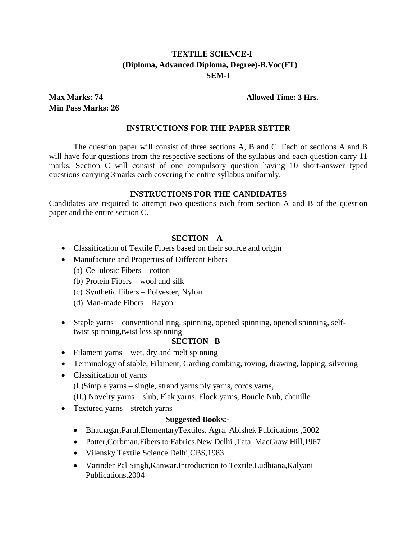# **TEXTILE SCIENCE-I (Diploma, Advanced Diploma, Degree)-B.Voc(FT) SEM-I**

**Min Pass Marks: 26**

### **Max Marks: 74 Allowed Time: 3 Hrs.**

### **INSTRUCTIONS FOR THE PAPER SETTER**

The question paper will consist of three sections A, B and C. Each of sections A and B will have four questions from the respective sections of the syllabus and each question carry 11 marks. Section C will consist of one compulsory question having 10 short-answer typed questions carrying 3marks each covering the entire syllabus uniformly.

#### **INSTRUCTIONS FOR THE CANDIDATES**

Candidates are required to attempt two questions each from section A and B of the question paper and the entire section C.

#### **SECTION – A**

- Classification of Textile Fibers based on their source and origin
- Manufacture and Properties of Different Fibers
	- (a) Cellulosic Fibers cotton
	- (b) Protein Fibers wool and silk
	- (c) Synthetic Fibers Polyester, Nylon
	- (d) Man-made Fibers Rayon
- Staple yarns conventional ring, spinning, opened spinning, opened spinning, selftwist spinning,twist less spinning

#### **SECTION– B**

- Filament yarns wet, dry and melt spinning
- Terminology of stable, Filament, Carding combing, roving, drawing, lapping, silvering
- Classification of yarns (I.)Simple yarns – single, strand yarns.ply yarns, cords yarns, (II.) Novelty yarns – slub, Flak yarns, Flock yarns, Boucle Nub, chenille
- Textured yarns stretch yarns

- Bhatnagar,Parul.ElementaryTextiles. Agra. Abishek Publications ,2002
- Potter,Corbman,Fibers to Fabrics.New Delhi ,Tata MacGraw Hill,1967
- Vilensky.Textile Science.Delhi,CBS,1983
- Varinder Pal Singh,Kanwar.Introduction to Textile.Ludhiana,Kalyani Publications,2004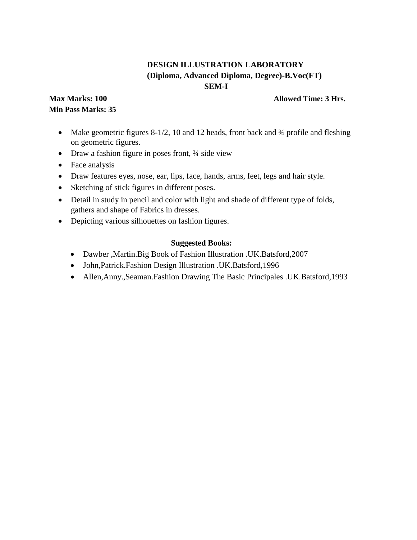# **DESIGN ILLUSTRATION LABORATORY (Diploma, Advanced Diploma, Degree)-B.Voc(FT) SEM-I**

## **Max Marks: 100 Min Pass Marks: 35**

## **Allowed Time: 3 Hrs.**

- Make geometric figures 8-1/2, 10 and 12 heads, front back and 34 profile and fleshing on geometric figures.
- Draw a fashion figure in poses front,  $\frac{3}{4}$  side view
- Face analysis
- Draw features eyes, nose, ear, lips, face, hands, arms, feet, legs and hair style.
- Sketching of stick figures in different poses.
- Detail in study in pencil and color with light and shade of different type of folds, gathers and shape of Fabrics in dresses.
- Depicting various silhouettes on fashion figures.

- Dawber ,Martin.Big Book of Fashion Illustration .UK.Batsford,2007
- John,Patrick.Fashion Design Illustration .UK.Batsford,1996
- Allen,Anny.,Seaman.Fashion Drawing The Basic Principales .UK.Batsford,1993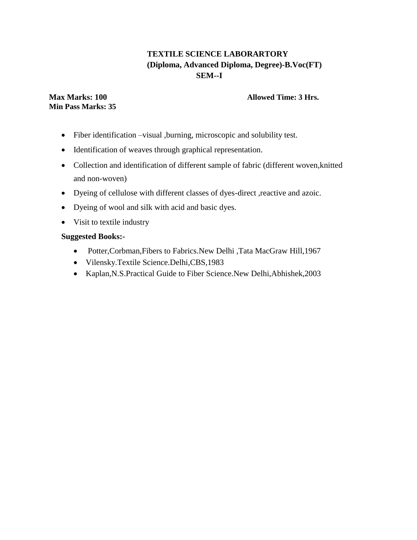# **TEXTILE SCIENCE LABORARTORY (Diploma, Advanced Diploma, Degree)-B.Voc(FT) SEM--I**

## **Max Marks: 100 Min Pass Marks: 35**

# **Allowed Time: 3 Hrs.**

- Fiber identification –visual ,burning, microscopic and solubility test.
- Identification of weaves through graphical representation.
- Collection and identification of different sample of fabric (different woven,knitted and non-woven)
- Dyeing of cellulose with different classes of dyes-direct ,reactive and azoic.
- Dyeing of wool and silk with acid and basic dyes.
- Visit to textile industry

- Potter,Corbman,Fibers to Fabrics.New Delhi ,Tata MacGraw Hill,1967
- Vilensky.Textile Science.Delhi,CBS,1983
- Kaplan,N.S.Practical Guide to Fiber Science.New Delhi,Abhishek,2003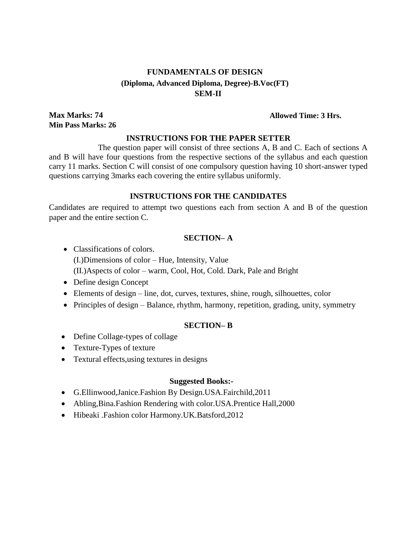# **FUNDAMENTALS OF DESIGN (Diploma, Advanced Diploma, Degree)-B.Voc(FT) SEM-II**

**Max Marks: 74 Min Pass Marks: 26**

#### **Allowed Time: 3 Hrs.**

## **INSTRUCTIONS FOR THE PAPER SETTER**

The question paper will consist of three sections A, B and C. Each of sections A and B will have four questions from the respective sections of the syllabus and each question carry 11 marks. Section C will consist of one compulsory question having 10 short-answer typed questions carrying 3marks each covering the entire syllabus uniformly.

#### **INSTRUCTIONS FOR THE CANDIDATES**

Candidates are required to attempt two questions each from section A and B of the question paper and the entire section C.

## **SECTION– A**

- Classifications of colors. (I.)Dimensions of color – Hue, Intensity, Value (II.)Aspects of color – warm, Cool, Hot, Cold. Dark, Pale and Bright
- Define design Concept
- Elements of design line, dot, curves, textures, shine, rough, silhouettes, color
- Principles of design Balance, rhythm, harmony, repetition, grading, unity, symmetry

## **SECTION– B**

- Define Collage-types of collage
- Texture-Types of texture
- Textural effects, using textures in designs

- G.Ellinwood,Janice.Fashion By Design.USA.Fairchild,2011
- Abling,Bina.Fashion Rendering with color.USA.Prentice Hall,2000
- Hibeaki .Fashion color Harmony.UK.Batsford,2012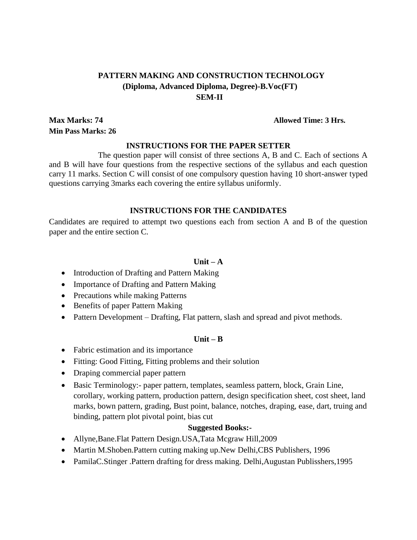# **PATTERN MAKING AND CONSTRUCTION TECHNOLOGY (Diploma, Advanced Diploma, Degree)-B.Voc(FT) SEM-II**

**Max Marks: 74 Min Pass Marks: 26**

**Allowed Time: 3 Hrs.**

#### **INSTRUCTIONS FOR THE PAPER SETTER**

The question paper will consist of three sections A, B and C. Each of sections A and B will have four questions from the respective sections of the syllabus and each question carry 11 marks. Section C will consist of one compulsory question having 10 short-answer typed questions carrying 3marks each covering the entire syllabus uniformly.

#### **INSTRUCTIONS FOR THE CANDIDATES**

Candidates are required to attempt two questions each from section A and B of the question paper and the entire section C.

#### $\textbf{Unit} - \textbf{A}$

- Introduction of Drafting and Pattern Making
- Importance of Drafting and Pattern Making
- Precautions while making Patterns
- Benefits of paper Pattern Making
- Pattern Development Drafting, Flat pattern, slash and spread and pivot methods.

### **Unit – B**

- Fabric estimation and its importance
- Fitting: Good Fitting, Fitting problems and their solution
- Draping commercial paper pattern
- Basic Terminology:- paper pattern, templates, seamless pattern, block, Grain Line, corollary, working pattern, production pattern, design specification sheet, cost sheet, land marks, bown pattern, grading, Bust point, balance, notches, draping, ease, dart, truing and binding, pattern plot pivotal point, bias cut

- Allyne,Bane.Flat Pattern Design.USA,Tata Mcgraw Hill,2009
- Martin M.Shoben. Pattern cutting making up. New Delhi, CBS Publishers, 1996
- PamilaC.Stinger .Pattern drafting for dress making. Delhi,Augustan Publisshers,1995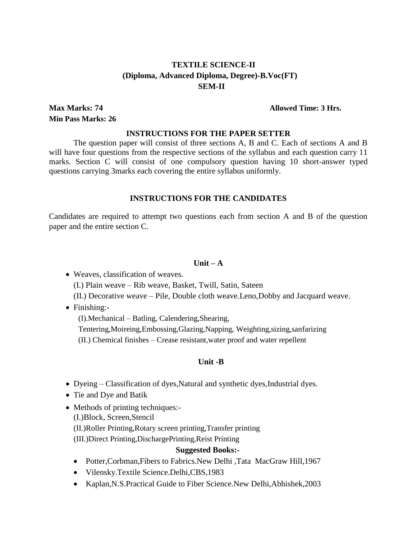## **TEXTILE SCIENCE-II (Diploma, Advanced Diploma, Degree)-B.Voc(FT) SEM-II**

**Max Marks: 74 Min Pass Marks: 26** **Allowed Time: 3 Hrs.**

#### **INSTRUCTIONS FOR THE PAPER SETTER**

The question paper will consist of three sections A, B and C. Each of sections A and B will have four questions from the respective sections of the syllabus and each question carry 11 marks. Section C will consist of one compulsory question having 10 short-answer typed questions carrying 3marks each covering the entire syllabus uniformly.

## **INSTRUCTIONS FOR THE CANDIDATES**

Candidates are required to attempt two questions each from section A and B of the question paper and the entire section C.

## $\textbf{Unit} - \textbf{A}$

 Weaves, classification of weaves. (I.) Plain weave – Rib weave, Basket, Twill, Satin, Sateen (II.) Decorative weave – Pile, Double cloth weave.Leno,Dobby and Jacquard weave.

• Finishing:-

(I).Mechanical – Batling, Calendering,Shearing,

Tentering,Moireing,Embossing,Glazing,Napping, Weighting,sizing,sanfarizing (II.) Chemical finishes – Crease resistant,water proof and water repellent

## **Unit -B**

- Dyeing Classification of dyes, Natural and synthetic dyes, Industrial dyes.
- Tie and Dye and Batik
- Methods of printing techniques:-(I.)Block, Screen,Stencil (II.)Roller Printing,Rotary screen printing,Transfer printing (III.)Direct Printing,DischargePrinting,Reist Printing

- Potter,Corbman,Fibers to Fabrics.New Delhi ,Tata MacGraw Hill,1967
- Vilensky.Textile Science.Delhi,CBS,1983
- Kaplan,N.S.Practical Guide to Fiber Science.New Delhi,Abhishek,2003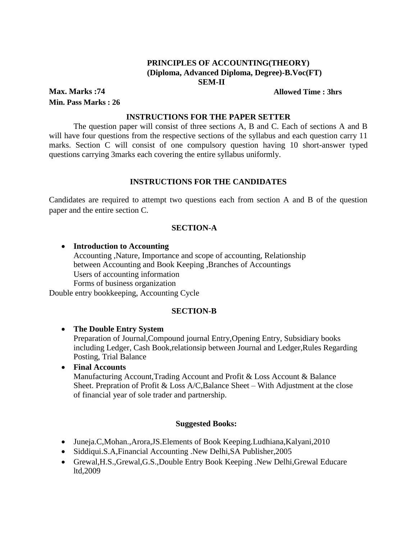## **PRINCIPLES OF ACCOUNTING(THEORY) (Diploma, Advanced Diploma, Degree)-B.Voc(FT) SEM-II**

**Max. Marks :74 Min. Pass Marks : 26** **Allowed Time : 3hrs**

### **INSTRUCTIONS FOR THE PAPER SETTER**

The question paper will consist of three sections A, B and C. Each of sections A and B will have four questions from the respective sections of the syllabus and each question carry 11 marks. Section C will consist of one compulsory question having 10 short-answer typed questions carrying 3marks each covering the entire syllabus uniformly.

## **INSTRUCTIONS FOR THE CANDIDATES**

Candidates are required to attempt two questions each from section A and B of the question paper and the entire section C.

#### **SECTION-A**

 **Introduction to Accounting** Accounting ,Nature, Importance and scope of accounting, Relationship between Accounting and Book Keeping ,Branches of Accountings Users of accounting information Forms of business organization Double entry bookkeeping, Accounting Cycle

#### **SECTION-B**

#### **The Double Entry System**

Preparation of Journal,Compound journal Entry,Opening Entry, Subsidiary books including Ledger, Cash Book,relationsip between Journal and Ledger,Rules Regarding Posting, Trial Balance

 **Final Accounts** Manufacturing Account,Trading Account and Profit & Loss Account & Balance Sheet. Prepration of Profit & Loss  $A/C$ , Balance Sheet – With Adjustment at the close of financial year of sole trader and partnership.

- Juneja.C,Mohan.,Arora,JS.Elements of Book Keeping.Ludhiana,Kalyani,2010
- Siddiqui.S.A,Financial Accounting .New Delhi,SA Publisher,2005
- Grewal,H.S.,Grewal,G.S.,Double Entry Book Keeping .New Delhi,Grewal Educare ltd,2009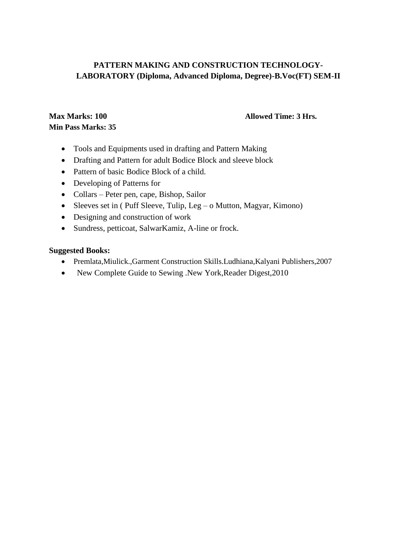# **PATTERN MAKING AND CONSTRUCTION TECHNOLOGY-LABORATORY (Diploma, Advanced Diploma, Degree)-B.Voc(FT) SEM-II**

# **Max Marks: 100 Min Pass Marks: 35**

## **Allowed Time: 3 Hrs.**

- Tools and Equipments used in drafting and Pattern Making
- Drafting and Pattern for adult Bodice Block and sleeve block
- Pattern of basic Bodice Block of a child.
- Developing of Patterns for
- Collars Peter pen, cape, Bishop, Sailor
- Sleeves set in ( Puff Sleeve, Tulip, Leg o Mutton, Magyar, Kimono)
- Designing and construction of work
- Sundress, petticoat, SalwarKamiz, A-line or frock.

- Premlata,Miulick.,Garment Construction Skills.Ludhiana,Kalyani Publishers,2007
- New Complete Guide to Sewing .New York, Reader Digest, 2010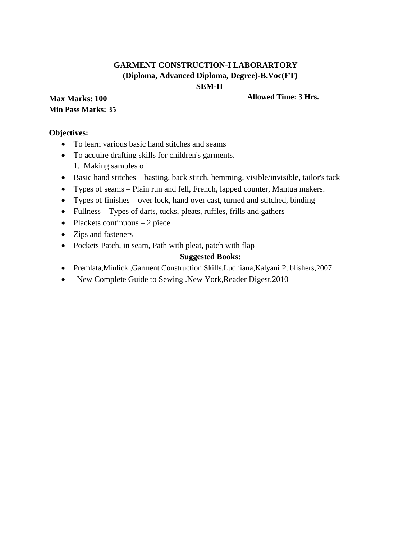# **GARMENT CONSTRUCTION-I LABORARTORY (Diploma, Advanced Diploma, Degree)-B.Voc(FT) SEM-II**

**Max Marks: 100 Min Pass Marks: 35** **Allowed Time: 3 Hrs.**

## **Objectives:**

- To learn various basic hand stitches and seams
- To acquire drafting skills for children's garments. 1. Making samples of
- Basic hand stitches basting, back stitch, hemming, visible/invisible, tailor's tack
- Types of seams Plain run and fell, French, lapped counter, Mantua makers.
- Types of finishes over lock, hand over cast, turned and stitched, binding
- Fullness Types of darts, tucks, pleats, ruffles, frills and gathers
- Plackets continuous  $-2$  piece
- Zips and fasteners
- Pockets Patch, in seam, Path with pleat, patch with flap

- Premlata,Miulick.,Garment Construction Skills.Ludhiana,Kalyani Publishers,2007
- New Complete Guide to Sewing .New York, Reader Digest, 2010